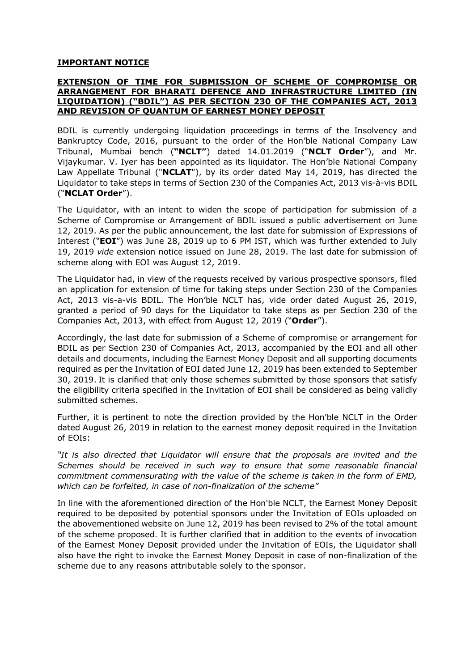## IMPORTANT NOTICE

## EXTENSION OF TIME FOR SUBMISSION OF SCHEME OF COMPROMISE OR ARRANGEMENT FOR BHARATI DEFENCE AND INFRASTRUCTURE LIMITED (IN LIQUIDATION) ("BDIL") AS PER SECTION 230 OF THE COMPANIES ACT, 2013 AND REVISION OF QUANTUM OF EARNEST MONEY DEPOSIT

BDIL is currently undergoing liquidation proceedings in terms of the Insolvency and Bankruptcy Code, 2016, pursuant to the order of the Hon'ble National Company Law Tribunal, Mumbai bench ("NCLT") dated 14.01.2019 ("NCLT Order"), and Mr. Vijaykumar. V. Iyer has been appointed as its liquidator. The Hon'ble National Company Law Appellate Tribunal ("NCLAT"), by its order dated May 14, 2019, has directed the Liquidator to take steps in terms of Section 230 of the Companies Act, 2013 vis-à-vis BDIL ("NCLAT Order").

The Liquidator, with an intent to widen the scope of participation for submission of a Scheme of Compromise or Arrangement of BDIL issued a public advertisement on June 12, 2019. As per the public announcement, the last date for submission of Expressions of Interest ("**EOI**") was June 28, 2019 up to 6 PM IST, which was further extended to July 19, 2019 vide extension notice issued on June 28, 2019. The last date for submission of scheme along with EOI was August 12, 2019.

The Liquidator had, in view of the requests received by various prospective sponsors, filed an application for extension of time for taking steps under Section 230 of the Companies Act, 2013 vis-a-vis BDIL. The Hon'ble NCLT has, vide order dated August 26, 2019, granted a period of 90 days for the Liquidator to take steps as per Section 230 of the Companies Act, 2013, with effect from August 12, 2019 ("Order").

Accordingly, the last date for submission of a Scheme of compromise or arrangement for BDIL as per Section 230 of Companies Act, 2013, accompanied by the EOI and all other details and documents, including the Earnest Money Deposit and all supporting documents required as per the Invitation of EOI dated June 12, 2019 has been extended to September 30, 2019. It is clarified that only those schemes submitted by those sponsors that satisfy the eligibility criteria specified in the Invitation of EOI shall be considered as being validly submitted schemes.

Further, it is pertinent to note the direction provided by the Hon'ble NCLT in the Order dated August 26, 2019 in relation to the earnest money deposit required in the Invitation of EOIs:

"It is also directed that Liquidator will ensure that the proposals are invited and the Schemes should be received in such way to ensure that some reasonable financial commitment commensurating with the value of the scheme is taken in the form of EMD, which can be forfeited, in case of non-finalization of the scheme"

In line with the aforementioned direction of the Hon'ble NCLT, the Earnest Money Deposit required to be deposited by potential sponsors under the Invitation of EOIs uploaded on the abovementioned website on June 12, 2019 has been revised to 2% of the total amount of the scheme proposed. It is further clarified that in addition to the events of invocation of the Earnest Money Deposit provided under the Invitation of EOIs, the Liquidator shall also have the right to invoke the Earnest Money Deposit in case of non-finalization of the scheme due to any reasons attributable solely to the sponsor.